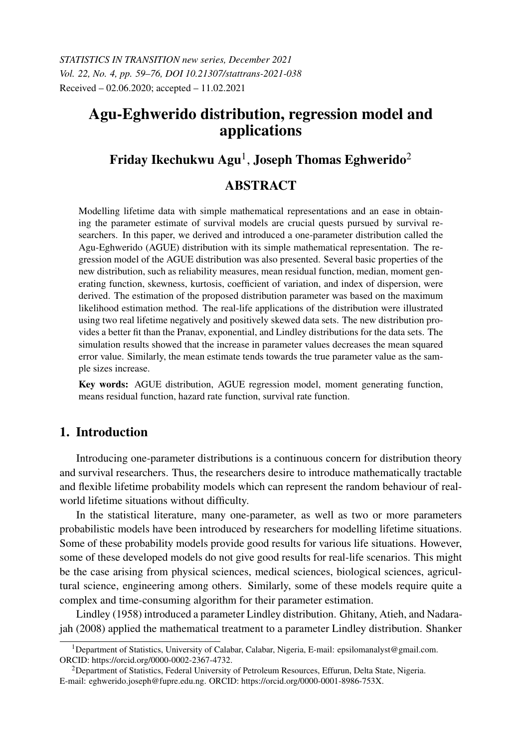# Agu-Eghwerido distribution, regression model and applications

# Friday Ikechukwu Agu $^{\rm l}$ , Joseph Thomas Eghwerido $^{\rm 2}$

## ABSTRACT

Modelling lifetime data with simple mathematical representations and an ease in obtaining the parameter estimate of survival models are crucial quests pursued by survival researchers. In this paper, we derived and introduced a one-parameter distribution called the Agu-Eghwerido (AGUE) distribution with its simple mathematical representation. The regression model of the AGUE distribution was also presented. Several basic properties of the new distribution, such as reliability measures, mean residual function, median, moment generating function, skewness, kurtosis, coefficient of variation, and index of dispersion, were derived. The estimation of the proposed distribution parameter was based on the maximum likelihood estimation method. The real-life applications of the distribution were illustrated using two real lifetime negatively and positively skewed data sets. The new distribution provides a better fit than the Pranav, exponential, and Lindley distributions for the data sets. The simulation results showed that the increase in parameter values decreases the mean squared error value. Similarly, the mean estimate tends towards the true parameter value as the sample sizes increase.

Key words: AGUE distribution, AGUE regression model, moment generating function, means residual function, hazard rate function, survival rate function.

## 1. Introduction

Introducing one-parameter distributions is a continuous concern for distribution theory and survival researchers. Thus, the researchers desire to introduce mathematically tractable and flexible lifetime probability models which can represent the random behaviour of realworld lifetime situations without difficulty.

In the statistical literature, many one-parameter, as well as two or more parameters probabilistic models have been introduced by researchers for modelling lifetime situations. Some of these probability models provide good results for various life situations. However, some of these developed models do not give good results for real-life scenarios. This might be the case arising from physical sciences, medical sciences, biological sciences, agricultural science, engineering among others. Similarly, some of these models require quite a complex and time-consuming algorithm for their parameter estimation.

Lindley (1958) introduced a parameter Lindley distribution. Ghitany, Atieh, and Nadarajah (2008) applied the mathematical treatment to a parameter Lindley distribution. Shanker

<sup>&</sup>lt;sup>1</sup>Department of Statistics, University of Calabar, Calabar, Nigeria, E-mail: epsilomanalyst@gmail.com. ORCID: https://orcid.org/0000-0002-2367-4732.

<sup>2</sup>Department of Statistics, Federal University of Petroleum Resources, Effurun, Delta State, Nigeria. E-mail: eghwerido.joseph@fupre.edu.ng. ORCID: https://orcid.org/0000-0001-8986-753X.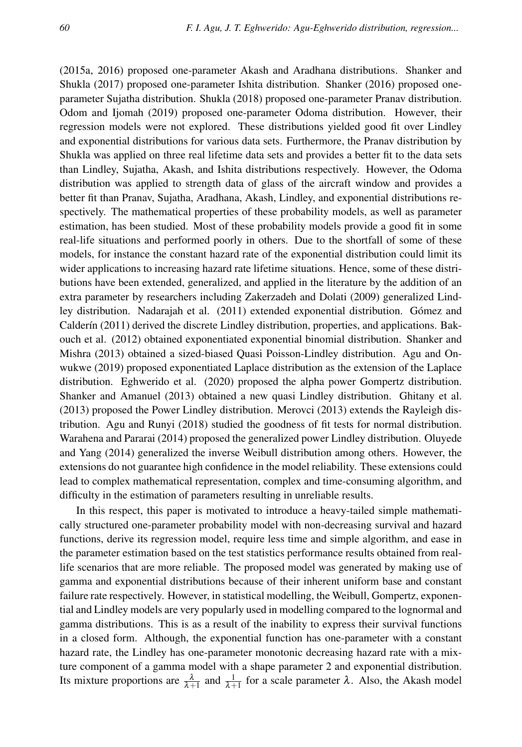(2015a, 2016) proposed one-parameter Akash and Aradhana distributions. Shanker and Shukla (2017) proposed one-parameter Ishita distribution. Shanker (2016) proposed oneparameter Sujatha distribution. Shukla (2018) proposed one-parameter Pranav distribution. Odom and Ijomah (2019) proposed one-parameter Odoma distribution. However, their regression models were not explored. These distributions yielded good fit over Lindley and exponential distributions for various data sets. Furthermore, the Pranav distribution by Shukla was applied on three real lifetime data sets and provides a better fit to the data sets than Lindley, Sujatha, Akash, and Ishita distributions respectively. However, the Odoma distribution was applied to strength data of glass of the aircraft window and provides a better fit than Pranav, Sujatha, Aradhana, Akash, Lindley, and exponential distributions respectively. The mathematical properties of these probability models, as well as parameter estimation, has been studied. Most of these probability models provide a good fit in some real-life situations and performed poorly in others. Due to the shortfall of some of these models, for instance the constant hazard rate of the exponential distribution could limit its wider applications to increasing hazard rate lifetime situations. Hence, some of these distributions have been extended, generalized, and applied in the literature by the addition of an extra parameter by researchers including Zakerzadeh and Dolati (2009) generalized Lindley distribution. Nadarajah et al. (2011) extended exponential distribution. Gómez and Calderín (2011) derived the discrete Lindley distribution, properties, and applications. Bakouch et al. (2012) obtained exponentiated exponential binomial distribution. Shanker and Mishra (2013) obtained a sized-biased Quasi Poisson-Lindley distribution. Agu and Onwukwe (2019) proposed exponentiated Laplace distribution as the extension of the Laplace distribution. Eghwerido et al. (2020) proposed the alpha power Gompertz distribution. Shanker and Amanuel (2013) obtained a new quasi Lindley distribution. Ghitany et al. (2013) proposed the Power Lindley distribution. Merovci (2013) extends the Rayleigh distribution. Agu and Runyi (2018) studied the goodness of fit tests for normal distribution. Warahena and Pararai (2014) proposed the generalized power Lindley distribution. Oluyede and Yang (2014) generalized the inverse Weibull distribution among others. However, the extensions do not guarantee high confidence in the model reliability. These extensions could lead to complex mathematical representation, complex and time-consuming algorithm, and difficulty in the estimation of parameters resulting in unreliable results.

In this respect, this paper is motivated to introduce a heavy-tailed simple mathematically structured one-parameter probability model with non-decreasing survival and hazard functions, derive its regression model, require less time and simple algorithm, and ease in the parameter estimation based on the test statistics performance results obtained from reallife scenarios that are more reliable. The proposed model was generated by making use of gamma and exponential distributions because of their inherent uniform base and constant failure rate respectively. However, in statistical modelling, the Weibull, Gompertz, exponential and Lindley models are very popularly used in modelling compared to the lognormal and gamma distributions. This is as a result of the inability to express their survival functions in a closed form. Although, the exponential function has one-parameter with a constant hazard rate, the Lindley has one-parameter monotonic decreasing hazard rate with a mixture component of a gamma model with a shape parameter 2 and exponential distribution. Its mixture proportions are  $\frac{\lambda}{\lambda+1}$  and  $\frac{1}{\lambda+1}$  for a scale parameter  $\lambda$ . Also, the Akash model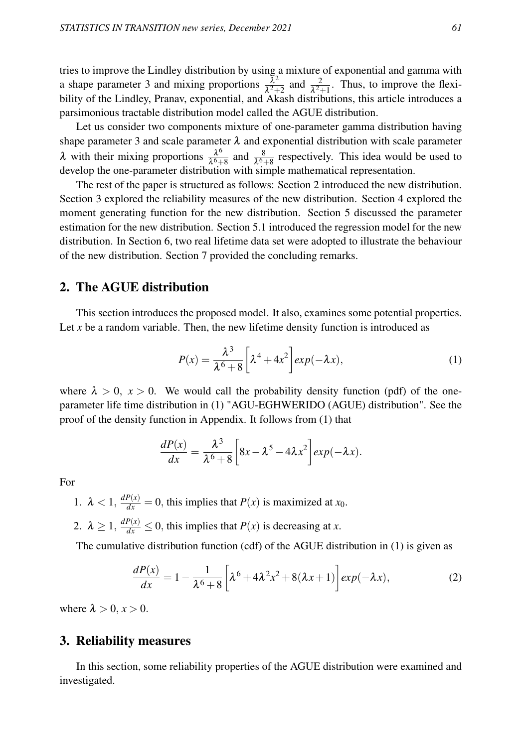tries to improve the Lindley distribution by using a mixture of exponential and gamma with a shape parameter 3 and mixing proportions  $\frac{\bar{\lambda}^2}{\lambda^2}$  $\frac{\lambda^2}{\lambda^2+2}$  and  $\frac{2}{\lambda^2+1}$ . Thus, to improve the flexibility of the Lindley, Pranav, exponential, and Akash distributions, this article introduces a parsimonious tractable distribution model called the AGUE distribution.

Let us consider two components mixture of one-parameter gamma distribution having shape parameter 3 and scale parameter  $\lambda$  and exponential distribution with scale parameter λ with their mixing proportions  $\frac{\lambda^6}{\lambda^6}$  $\frac{\lambda^6}{\lambda^6+8}$  and  $\frac{8}{\lambda^6+8}$  respectively. This idea would be used to develop the one-parameter distribution with simple mathematical representation.

The rest of the paper is structured as follows: Section 2 introduced the new distribution. Section 3 explored the reliability measures of the new distribution. Section 4 explored the moment generating function for the new distribution. Section 5 discussed the parameter estimation for the new distribution. Section 5.1 introduced the regression model for the new distribution. In Section 6, two real lifetime data set were adopted to illustrate the behaviour of the new distribution. Section 7 provided the concluding remarks.

## 2. The AGUE distribution

This section introduces the proposed model. It also, examines some potential properties. Let *x* be a random variable. Then, the new lifetime density function is introduced as

$$
P(x) = \frac{\lambda^3}{\lambda^6 + 8} \left[ \lambda^4 + 4x^2 \right] exp(-\lambda x), \tag{1}
$$

where  $\lambda > 0$ ,  $x > 0$ . We would call the probability density function (pdf) of the oneparameter life time distribution in (1) "AGU-EGHWERIDO (AGUE) distribution". See the proof of the density function in Appendix. It follows from (1) that

$$
\frac{dP(x)}{dx} = \frac{\lambda^3}{\lambda^6 + 8} \left[ 8x - \lambda^5 - 4\lambda x^2 \right] exp(-\lambda x).
$$

For

1.  $\lambda < 1$ ,  $\frac{dP(x)}{dx} = 0$ , this implies that  $P(x)$  is maximized at  $x_0$ .

2.  $\lambda \ge 1$ ,  $\frac{dP(x)}{dx} \le 0$ , this implies that  $P(x)$  is decreasing at *x*.

The cumulative distribution function (cdf) of the AGUE distribution in (1) is given as

$$
\frac{dP(x)}{dx} = 1 - \frac{1}{\lambda^6 + 8} \left[ \lambda^6 + 4\lambda^2 x^2 + 8(\lambda x + 1) \right] exp(-\lambda x),\tag{2}
$$

where  $\lambda > 0$ ,  $x > 0$ .

## 3. Reliability measures

In this section, some reliability properties of the AGUE distribution were examined and investigated.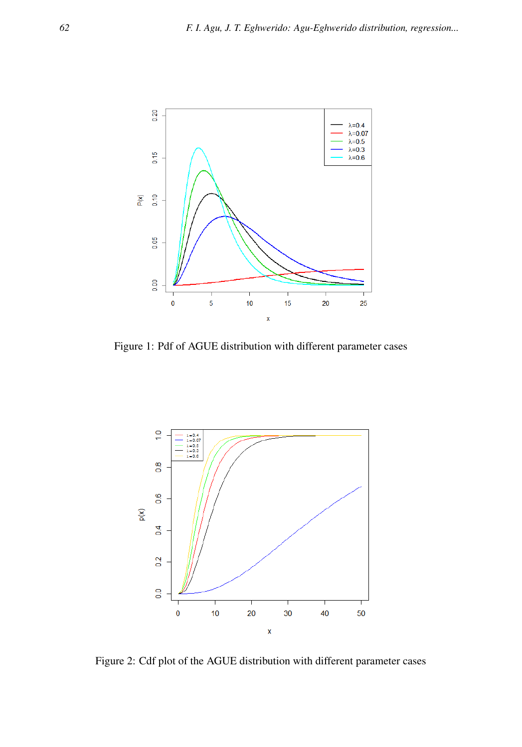

Figure 1: Pdf of AGUE distribution with different parameter cases



Figure 2: Cdf plot of the AGUE distribution with different parameter cases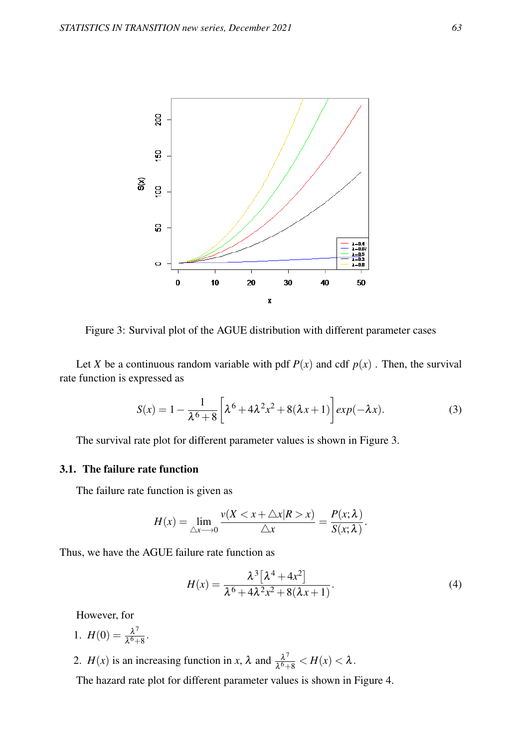

Figure 3: Survival plot of the AGUE distribution with different parameter cases

Let *X* be a continuous random variable with pdf  $P(x)$  and cdf  $p(x)$ . Then, the survival rate function is expressed as

$$
S(x) = 1 - \frac{1}{\lambda^6 + 8} \left[ \lambda^6 + 4\lambda^2 x^2 + 8(\lambda x + 1) \right] exp(-\lambda x).
$$
 (3)

The survival rate plot for different parameter values is shown in Figure 3.

## 3.1. The failure rate function

The failure rate function is given as

$$
H(x) = \lim_{\triangle x \to 0} \frac{v(X < x + \triangle x | R > x)}{\triangle x} = \frac{P(x; \lambda)}{S(x; \lambda)}.
$$

Thus, we have the AGUE failure rate function as

$$
H(x) = \frac{\lambda^3 [\lambda^4 + 4x^2]}{\lambda^6 + 4\lambda^2 x^2 + 8(\lambda x + 1)}.
$$
 (4)

However, for

1.  $H(0) = \frac{\lambda^7}{16}$  $\frac{\lambda^7}{\lambda^6+8}$ .

2. *H*(*x*) is an increasing function in *x*,  $\lambda$  and  $\frac{\lambda^7}{\lambda^6}$  $\frac{\lambda^6}{\lambda^6+8} < H(x) < \lambda$ .

The hazard rate plot for different parameter values is shown in Figure 4.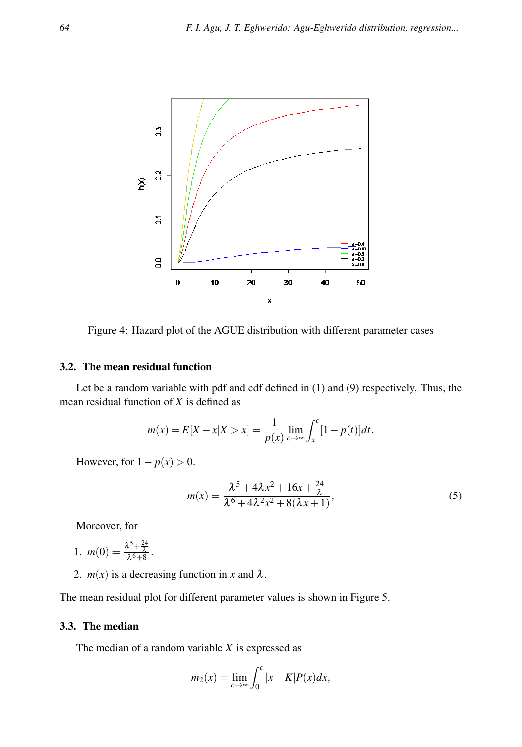

Figure 4: Hazard plot of the AGUE distribution with different parameter cases

## 3.2. The mean residual function

Let be a random variable with pdf and cdf defined in (1) and (9) respectively. Thus, the mean residual function of *X* is defined as

$$
m(x) = E[X - x | X > x] = \frac{1}{p(x)} \lim_{c \to \infty} \int_{x}^{c} [1 - p(t)] dt.
$$

However, for  $1 - p(x) > 0$ .

$$
m(x) = \frac{\lambda^5 + 4\lambda x^2 + 16x + \frac{24}{\lambda}}{\lambda^6 + 4\lambda^2 x^2 + 8(\lambda x + 1)},
$$
\n(5)

Moreover, for

- 1.  $m(0) = \frac{\lambda^5 + \frac{24}{\lambda}}{\lambda^6 + 8}.$
- 2.  $m(x)$  is a decreasing function in *x* and  $\lambda$ .

The mean residual plot for different parameter values is shown in Figure 5.

## 3.3. The median

The median of a random variable *X* is expressed as

$$
m_2(x) = \lim_{c \to \infty} \int_0^c |x - K| P(x) dx,
$$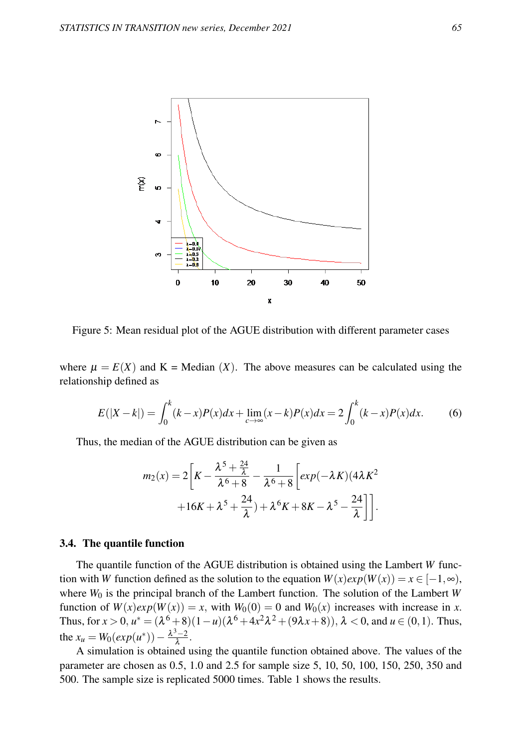

Figure 5: Mean residual plot of the AGUE distribution with different parameter cases

where  $\mu = E(X)$  and  $K = \text{Median}(X)$ . The above measures can be calculated using the relationship defined as

$$
E(|X-k|) = \int_0^k (k-x)P(x)dx + \lim_{c \to \infty} (x-k)P(x)dx = 2\int_0^k (k-x)P(x)dx.
$$
 (6)

Thus, the median of the AGUE distribution can be given as

$$
m_2(x) = 2\left[K - \frac{\lambda^5 + \frac{24}{\lambda}}{\lambda^6 + 8} - \frac{1}{\lambda^6 + 8}\left[exp(-\lambda K)(4\lambda K^2 + 16K + \lambda^5 + \frac{24}{\lambda}) + \lambda^6 K + 8K - \lambda^5 - \frac{24}{\lambda}\right]\right].
$$

#### 3.4. The quantile function

The quantile function of the AGUE distribution is obtained using the Lambert *W* function with *W* function defined as the solution to the equation  $W(x)exp(W(x)) = x \in [-1, \infty)$ , where *W*<sup>0</sup> is the principal branch of the Lambert function. The solution of the Lambert *W* function of  $W(x)exp(W(x)) = x$ , with  $W_0(0) = 0$  and  $W_0(x)$  increases with increase in *x*. Thus, for  $x > 0$ ,  $u^* = (\lambda^6 + 8)(1 - u)(\lambda^6 + 4x^2\lambda^2 + (9\lambda x + 8))$ ,  $\lambda < 0$ , and  $u \in (0, 1)$ . Thus, the  $x_u = W_0(exp(u^*)) - \frac{\lambda^3 - 2}{\lambda}$  $\frac{1}{\lambda}$ .

A simulation is obtained using the quantile function obtained above. The values of the parameter are chosen as 0.5, 1.0 and 2.5 for sample size 5, 10, 50, 100, 150, 250, 350 and 500. The sample size is replicated 5000 times. Table 1 shows the results.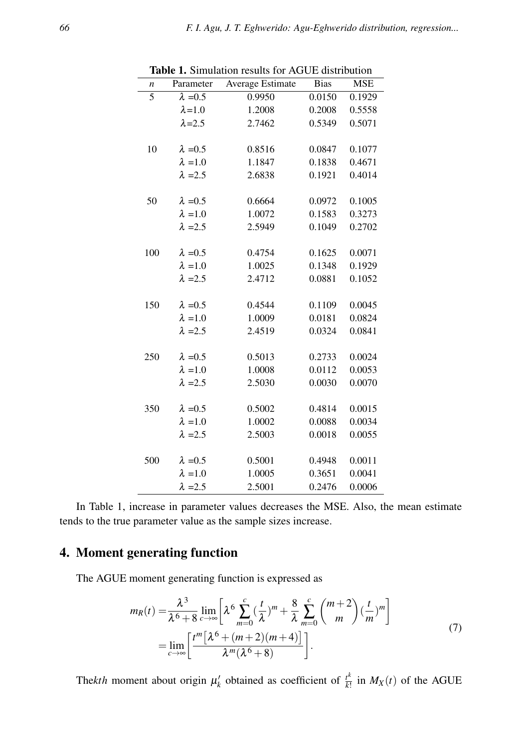|     | <b>rapic 1.</b> Summation results for AOOL distribution |                  |             |            |  |  |  |
|-----|---------------------------------------------------------|------------------|-------------|------------|--|--|--|
| n   | Parameter                                               | Average Estimate | <b>Bias</b> | <b>MSE</b> |  |  |  |
| 5   | $\lambda = 0.5$                                         | 0.9950           | 0.0150      | 0.1929     |  |  |  |
|     | $\lambda = 1.0$                                         | 1.2008           | 0.2008      | 0.5558     |  |  |  |
|     | $\lambda = 2.5$                                         | 2.7462           | 0.5349      | 0.5071     |  |  |  |
|     |                                                         |                  |             |            |  |  |  |
| 10  | $\lambda = 0.5$                                         | 0.8516           | 0.0847      | 0.1077     |  |  |  |
|     | $\lambda = 1.0$                                         | 1.1847           | 0.1838      | 0.4671     |  |  |  |
|     | $\lambda = 2.5$                                         | 2.6838           | 0.1921      | 0.4014     |  |  |  |
|     |                                                         |                  |             |            |  |  |  |
| 50  | $\lambda = 0.5$                                         | 0.6664           | 0.0972      | 0.1005     |  |  |  |
|     | $\lambda = 1.0$                                         | 1.0072           | 0.1583      | 0.3273     |  |  |  |
|     | $\lambda = 2.5$                                         | 2.5949           | 0.1049      | 0.2702     |  |  |  |
|     |                                                         |                  |             |            |  |  |  |
| 100 | $\lambda = 0.5$                                         | 0.4754           | 0.1625      | 0.0071     |  |  |  |
|     | $\lambda$ = 1.0                                         | 1.0025           | 0.1348      | 0.1929     |  |  |  |
|     | $\lambda = 2.5$                                         | 2.4712           | 0.0881      | 0.1052     |  |  |  |
|     |                                                         |                  |             |            |  |  |  |
| 150 | $\lambda = 0.5$                                         | 0.4544           | 0.1109      | 0.0045     |  |  |  |
|     | $\lambda = 1.0$                                         | 1.0009           | 0.0181      | 0.0824     |  |  |  |
|     | $\lambda = 2.5$                                         | 2.4519           | 0.0324      | 0.0841     |  |  |  |
|     |                                                         |                  |             |            |  |  |  |
| 250 | $\lambda = 0.5$                                         | 0.5013           | 0.2733      | 0.0024     |  |  |  |
|     | $\lambda = 1.0$                                         | 1.0008           | 0.0112      | 0.0053     |  |  |  |
|     | $\lambda = 2.5$                                         | 2.5030           | 0.0030      | 0.0070     |  |  |  |
|     |                                                         |                  |             |            |  |  |  |
| 350 | $\lambda = 0.5$                                         | 0.5002           | 0.4814      | 0.0015     |  |  |  |
|     | $\lambda = 1.0$                                         | 1.0002           | 0.0088      | 0.0034     |  |  |  |
|     | $\lambda = 2.5$                                         | 2.5003           | 0.0018      | 0.0055     |  |  |  |
|     |                                                         |                  |             |            |  |  |  |
| 500 | $\lambda = 0.5$                                         | 0.5001           | 0.4948      | 0.0011     |  |  |  |
|     | $\lambda = 1.0$                                         | 1.0005           | 0.3651      | 0.0041     |  |  |  |
|     | $\lambda = 2.5$                                         | 2.5001           | 0.2476      | 0.0006     |  |  |  |

Table 1. Simulation results for AGUE distribution

In Table 1, increase in parameter values decreases the MSE. Also, the mean estimate tends to the true parameter value as the sample sizes increase.

## 4. Moment generating function

The AGUE moment generating function is expressed as

$$
m_R(t) = \frac{\lambda^3}{\lambda^6 + 8} \lim_{c \to \infty} \left[ \lambda^6 \sum_{m=0}^c \left( \frac{t}{\lambda} \right)^m + \frac{8}{\lambda} \sum_{m=0}^c \binom{m+2}{m} \left( \frac{t}{m} \right)^m \right]
$$
  
= 
$$
\lim_{c \to \infty} \left[ \frac{t^m \left[ \lambda^6 + (m+2)(m+4) \right]}{\lambda^m (\lambda^6 + 8)} \right].
$$
 (7)

The*kth* moment about origin  $\mu'_k$  obtained as coefficient of  $\frac{t^k}{k}$  $\frac{t^{n}}{k!}$  in  $M_X(t)$  of the AGUE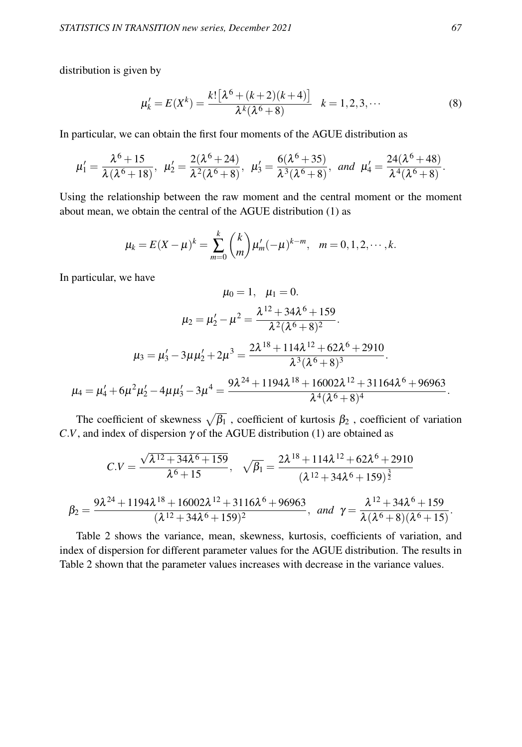distribution is given by

$$
\mu'_{k} = E(X^{k}) = \frac{k! \left[\lambda^{6} + (k+2)(k+4)\right]}{\lambda^{k}(\lambda^{6} + 8)} \quad k = 1, 2, 3, \cdots
$$
 (8)

In particular, we can obtain the first four moments of the AGUE distribution as

$$
\mu_1'=\frac{\lambda^6+15}{\lambda(\lambda^6+18)}, \ \mu_2'=\frac{2(\lambda^6+24)}{\lambda^2(\lambda^6+8)}, \ \mu_3'=\frac{6(\lambda^6+35)}{\lambda^3(\lambda^6+8)}, \ \text{and} \ \mu_4'=\frac{24(\lambda^6+48)}{\lambda^4(\lambda^6+8)}.
$$

Using the relationship between the raw moment and the central moment or the moment about mean, we obtain the central of the AGUE distribution (1) as

$$
\mu_k = E(X - \mu)^k = \sum_{m=0}^k {k \choose m} \mu'_m (-\mu)^{k-m}, \quad m = 0, 1, 2, \cdots, k.
$$

In particular, we have

$$
\mu_0 = 1, \quad \mu_1 = 0.
$$

$$
\mu_2 = \mu'_2 - \mu^2 = \frac{\lambda^{12} + 34\lambda^6 + 159}{\lambda^2(\lambda^6 + 8)^2}.
$$

$$
\mu_3 = \mu'_3 - 3\mu\mu'_2 + 2\mu^3 = \frac{2\lambda^{18} + 114\lambda^{12} + 62\lambda^6 + 2910}{\lambda^3(\lambda^6 + 8)^3}.
$$

$$
\mu_4 = \mu'_4 + 6\mu^2\mu'_2 - 4\mu\mu'_3 - 3\mu^4 = \frac{9\lambda^{24} + 1194\lambda^{18} + 16002\lambda^{12} + 31164\lambda^6 + 96963}{\lambda^4(\lambda^6 + 8)^4}.
$$

The coefficient of skewness  $\sqrt{\beta_1}$  , coefficient of kurtosis  $\beta_2$  , coefficient of variation  $C.V$ , and index of dispersion  $\gamma$  of the AGUE distribution (1) are obtained as

$$
C.V = \frac{\sqrt{\lambda^{12} + 34\lambda^6 + 159}}{\lambda^6 + 15}, \quad \sqrt{\beta_1} = \frac{2\lambda^{18} + 114\lambda^{12} + 62\lambda^6 + 2910}{(\lambda^{12} + 34\lambda^6 + 159)^{\frac{3}{2}}}
$$

$$
\beta_2 = \frac{9\lambda^{24} + 1194\lambda^{18} + 16002\lambda^{12} + 3116\lambda^6 + 96963}{(\lambda^{12} + 34\lambda^6 + 159)^2}, \text{ and } \gamma = \frac{\lambda^{12} + 34\lambda^6 + 159}{\lambda(\lambda^6 + 8)(\lambda^6 + 15)}.
$$

Table 2 shows the variance, mean, skewness, kurtosis, coefficients of variation, and index of dispersion for different parameter values for the AGUE distribution. The results in Table 2 shown that the parameter values increases with decrease in the variance values.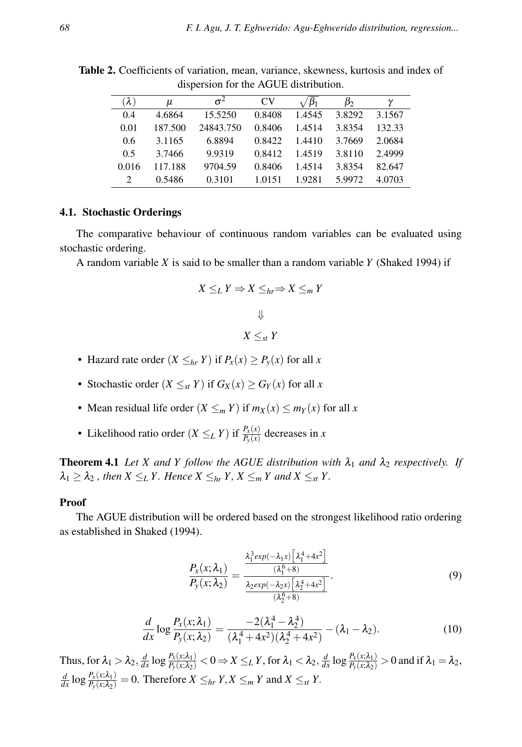| $(\lambda)$ | u       | $\sigma^2$ | CV     | $\beta_1$ | $\beta_2$ | γ      |
|-------------|---------|------------|--------|-----------|-----------|--------|
| 0.4         | 4.6864  | 15.5250    | 0.8408 | 1.4545    | 3.8292    | 3.1567 |
| 0.01        | 187.500 | 24843.750  | 0.8406 | 1.4514    | 3.8354    | 132.33 |
| 0.6         | 3.1165  | 6.8894     | 0.8422 | 1.4410    | 3.7669    | 2.0684 |
| 0.5         | 3.7466  | 9.9319     | 0.8412 | 1.4519    | 3.8110    | 2.4999 |
| 0.016       | 117.188 | 9704.59    | 0.8406 | 1.4514    | 3.8354    | 82.647 |
| 2           | 0.5486  | 0.3101     | 1.0151 | 1.9281    | 5.9972    | 4.0703 |

Table 2. Coefficients of variation, mean, variance, skewness, kurtosis and index of dispersion for the AGUE distribution.

#### 4.1. Stochastic Orderings

The comparative behaviour of continuous random variables can be evaluated using stochastic ordering.

A random variable *X* is said to be smaller than a random variable *Y* (Shaked 1994) if

$$
X \leq_L Y \Rightarrow X \leq_{hr} \Rightarrow X \leq_m Y
$$
  

$$
\Downarrow
$$
  

$$
X \leq_{st} Y
$$

- Hazard rate order  $(X \leq_{hr} Y)$  if  $P_x(x) \geq P_y(x)$  for all *x*
- Stochastic order  $(X \leq_{st} Y)$  if  $G_X(x) \geq G_Y(x)$  for all *x*
- Mean residual life order  $(X \leq_m Y)$  if  $m_X(x) \leq m_Y(x)$  for all *x*
- Likelihood ratio order  $(X \leq_L Y)$  if  $\frac{P_X(x)}{P_Y(x)}$  decreases in *x*

**Theorem 4.1** Let X and Y follow the AGUE distribution with  $\lambda_1$  and  $\lambda_2$  respectively. If  $\lambda_1 \geq \lambda_2$ , then  $X \leq_L Y$ . Hence  $X \leq_{hr} Y$ ,  $X \leq_m Y$  and  $X \leq_{st} Y$ .

#### Proof

The AGUE distribution will be ordered based on the strongest likelihood ratio ordering as established in Shaked (1994).

$$
\frac{P_x(x;\lambda_1)}{P_y(x;\lambda_2)} = \frac{\frac{\lambda_1^3 \exp(-\lambda_1 x) \left[\lambda_1^4 + 4x^2\right]}{(\lambda_1^6 + 8)}}{\frac{\lambda_2 \exp(-\lambda_2 x) \left[\lambda_2^4 + 4x^2\right]}{(\lambda_2^6 + 8)}}.
$$
\n(9)

$$
\frac{d}{dx}\log\frac{P_x(x;\lambda_1)}{P_y(x;\lambda_2)} = \frac{-2(\lambda_1^4 - \lambda_2^4)}{(\lambda_1^4 + 4x^2)(\lambda_2^4 + 4x^2)} - (\lambda_1 - \lambda_2).
$$
\n(10)

Thus, for  $\lambda_1 > \lambda_2$ ,  $\frac{d}{dx} \log \frac{P_x(x;\lambda_1)}{P_y(x;\lambda_2)} < 0 \Rightarrow X \leq_L Y$ , for  $\lambda_1 < \lambda_2$ ,  $\frac{d}{dx} \log \frac{P_x(x;\lambda_1)}{P_y(x;\lambda_2)} > 0$  and if  $\lambda_1 = \lambda_2$ ,  $\frac{d}{dx}$  log  $\frac{P_x(x;\lambda_1)}{P_y(x;\lambda_2)} = 0$ . Therefore  $X \leq_{hr} Y, X \leq_m Y$  and  $X \leq_{st} Y$ .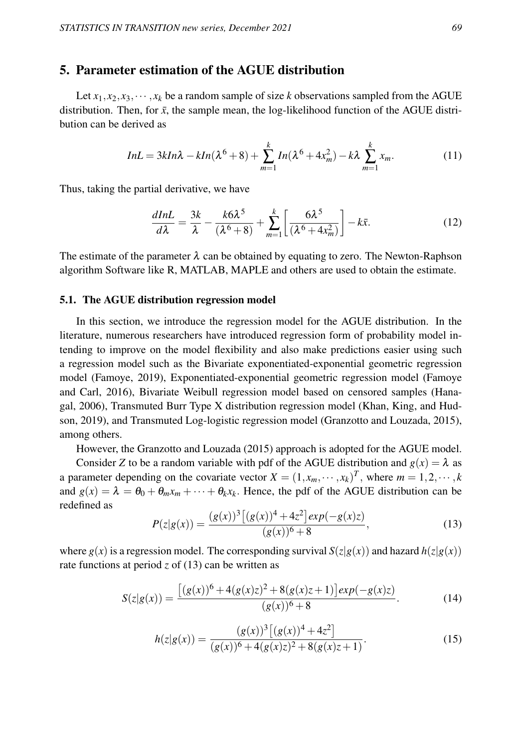## 5. Parameter estimation of the AGUE distribution

Let  $x_1, x_2, x_3, \dots, x_k$  be a random sample of size *k* observations sampled from the AGUE distribution. Then, for  $\bar{x}$ , the sample mean, the log-likelihood function of the AGUE distribution can be derived as

$$
InL = 3kIn\lambda - kIn(\lambda^6 + 8) + \sum_{m=1}^{k} In(\lambda^6 + 4x_m^2) - k\lambda \sum_{m=1}^{k} x_m.
$$
 (11)

Thus, taking the partial derivative, we have

$$
\frac{dInL}{d\lambda} = \frac{3k}{\lambda} - \frac{k6\lambda^5}{(\lambda^6 + 8)} + \sum_{m=1}^k \left[ \frac{6\lambda^5}{(\lambda^6 + 4x_m^2)} \right] - k\bar{x}.\tag{12}
$$

The estimate of the parameter  $\lambda$  can be obtained by equating to zero. The Newton-Raphson algorithm Software like R, MATLAB, MAPLE and others are used to obtain the estimate.

#### 5.1. The AGUE distribution regression model

In this section, we introduce the regression model for the AGUE distribution. In the literature, numerous researchers have introduced regression form of probability model intending to improve on the model flexibility and also make predictions easier using such a regression model such as the Bivariate exponentiated-exponential geometric regression model (Famoye, 2019), Exponentiated-exponential geometric regression model (Famoye and Carl, 2016), Bivariate Weibull regression model based on censored samples (Hanagal, 2006), Transmuted Burr Type X distribution regression model (Khan, King, and Hudson, 2019), and Transmuted Log-logistic regression model (Granzotto and Louzada, 2015), among others.

However, the Granzotto and Louzada (2015) approach is adopted for the AGUE model.

Consider *Z* to be a random variable with pdf of the AGUE distribution and  $g(x) = \lambda$  as a parameter depending on the covariate vector  $X = (1, x_m, \dots, x_k)^T$ , where  $m = 1, 2, \dots, k$ and  $g(x) = \lambda = \theta_0 + \theta_m x_m + \cdots + \theta_k x_k$ . Hence, the pdf of the AGUE distribution can be redefined as

$$
P(z|g(x)) = \frac{(g(x))^3 \left[ (g(x))^4 + 4z^2 \right] exp(-g(x)z)}{(g(x))^6 + 8},
$$
\n(13)

where  $g(x)$  is a regression model. The corresponding survival  $S(z|g(x))$  and hazard  $h(z|g(x))$ rate functions at period  $z$  of (13) can be written as

$$
S(z|g(x)) = \frac{[(g(x))^6 + 4(g(x)z)^2 + 8(g(x)z + 1)]exp(-g(x)z)}{(g(x))^6 + 8}.
$$
 (14)

$$
h(z|g(x)) = \frac{(g(x))^3 [(g(x))^4 + 4z^2]}{(g(x))^6 + 4(g(x)z)^2 + 8(g(x)z + 1)}.
$$
\n(15)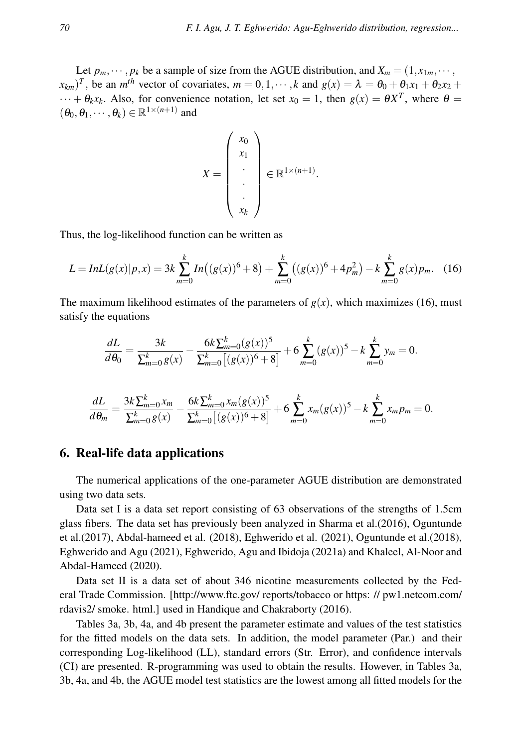Let  $p_m, \dots, p_k$  be a sample of size from the AGUE distribution, and  $X_m = (1, x_{1m}, \dots, x_{km})$  $(x_{km})^T$ , be an *m*<sup>th</sup> vector of covariates,  $m = 0, 1, \dots, k$  and  $g(x) = \lambda = \theta_0 + \theta_1 x_1 + \theta_2 x_2 + \theta_3 x_3$  $\cdots + \theta_k x_k$ . Also, for convenience notation, let set  $x_0 = 1$ , then  $g(x) = \theta X^T$ , where  $\theta =$  $(\theta_0, \theta_1, \dots, \theta_k) \in \mathbb{R}^{1 \times (n+1)}$  and

$$
X = \begin{pmatrix} x_0 \\ x_1 \\ \vdots \\ x_k \end{pmatrix} \in \mathbb{R}^{1 \times (n+1)}.
$$

Thus, the log-likelihood function can be written as

$$
L = InL(g(x)|p, x) = 3k \sum_{m=0}^{k} In((g(x))^6 + 8) + \sum_{m=0}^{k} ((g(x))^6 + 4p_m^2) - k \sum_{m=0}^{k} g(x)p_m.
$$
 (16)

The maximum likelihood estimates of the parameters of  $g(x)$ , which maximizes (16), must satisfy the equations

$$
\frac{dL}{d\theta_0} = \frac{3k}{\sum_{m=0}^k g(x)} - \frac{6k \sum_{m=0}^k (g(x))^5}{\sum_{m=0}^k [(g(x))^6 + 8]} + 6 \sum_{m=0}^k (g(x))^5 - k \sum_{m=0}^k y_m = 0.
$$

$$
\frac{dL}{d\theta_m} = \frac{3k\sum_{m=0}^k x_m}{\sum_{m=0}^k g(x)} - \frac{6k\sum_{m=0}^k x_m (g(x))^5}{\sum_{m=0}^k [(g(x))^6 + 8]} + 6\sum_{m=0}^k x_m (g(x))^5 - k\sum_{m=0}^k x_m p_m = 0.
$$

### 6. Real-life data applications

The numerical applications of the one-parameter AGUE distribution are demonstrated using two data sets.

Data set I is a data set report consisting of 63 observations of the strengths of 1.5cm glass fibers. The data set has previously been analyzed in Sharma et al.(2016), Oguntunde et al.(2017), Abdal-hameed et al. (2018), Eghwerido et al. (2021), Oguntunde et al.(2018), Eghwerido and Agu (2021), Eghwerido, Agu and Ibidoja (2021a) and Khaleel, Al-Noor and Abdal-Hameed (2020).

Data set II is a data set of about 346 nicotine measurements collected by the Federal Trade Commission. [http://www.ftc.gov/ reports/tobacco or https: // pw1.netcom.com/ rdavis2/ smoke. html.] used in Handique and Chakraborty (2016).

Tables 3a, 3b, 4a, and 4b present the parameter estimate and values of the test statistics for the fitted models on the data sets. In addition, the model parameter (Par.) and their corresponding Log-likelihood (LL), standard errors (Str. Error), and confidence intervals (CI) are presented. R-programming was used to obtain the results. However, in Tables 3a, 3b, 4a, and 4b, the AGUE model test statistics are the lowest among all fitted models for the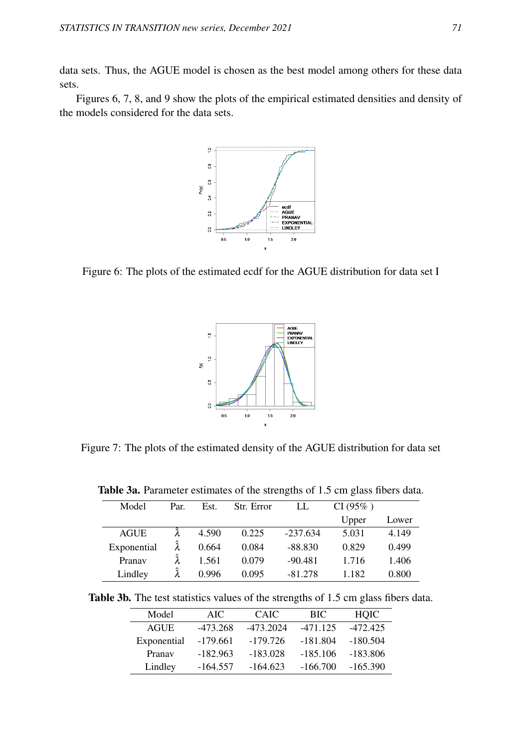data sets. Thus, the AGUE model is chosen as the best model among others for these data sets.

Figures 6, 7, 8, and 9 show the plots of the empirical estimated densities and density of the models considered for the data sets.



Figure 6: The plots of the estimated ecdf for the AGUE distribution for data set I



Figure 7: The plots of the estimated density of the AGUE distribution for data set

| Model       | Par. | Est.  | Str. Error | LL         | CI(95%) |       |
|-------------|------|-------|------------|------------|---------|-------|
|             |      |       |            |            | Upper   | Lower |
| <b>AGUE</b> |      | 4.590 | 0.225      | $-237.634$ | 5.031   | 4.149 |
| Exponential |      | 0.664 | 0.084      | $-88.830$  | 0.829   | 0.499 |
| Pranav      |      | 1.561 | 0.079      | $-90.481$  | 1.716   | 1.406 |
| Lindley     |      | 0.996 | 0.095      | $-81.278$  | 1.182   | 0.800 |

Table 3a. Parameter estimates of the strengths of 1.5 cm glass fibers data.

|  |  |  |  | <b>Table 3b.</b> The test statistics values of the strengths of 1.5 cm glass fibers data. |
|--|--|--|--|-------------------------------------------------------------------------------------------|
|  |  |  |  |                                                                                           |

| Model       | AIC.       | <b>CAIC</b> | <b>BIC</b> | HOIC       |
|-------------|------------|-------------|------------|------------|
| AGUE        | $-473.268$ | -473.2024   | $-471.125$ | $-472.425$ |
| Exponential | $-179.661$ | $-179.726$  | $-181.804$ | $-180.504$ |
| Pranav      | $-182.963$ | $-183.028$  | $-185.106$ | $-183.806$ |
| Lindley     | $-164.557$ | $-164.623$  | $-166.700$ | $-165.390$ |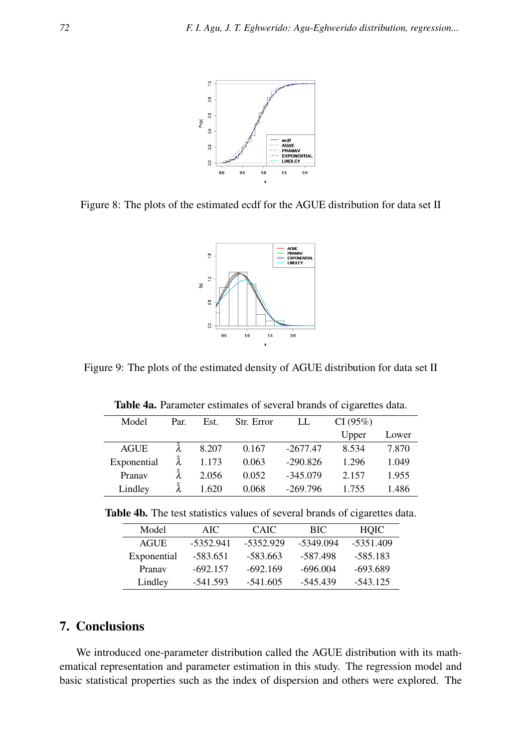

Figure 8: The plots of the estimated ecdf for the AGUE distribution for data set II



Figure 9: The plots of the estimated density of AGUE distribution for data set II

| Model       | Par. | Est.  | Str. Error | LL         | CI(95%) |       |
|-------------|------|-------|------------|------------|---------|-------|
|             |      |       |            |            | Upper   | Lower |
| <b>AGUE</b> |      | 8.207 | 0.167      | $-2677.47$ | 8.534   | 7.870 |
| Exponential |      | 1.173 | 0.063      | $-290.826$ | 1.296   | 1.049 |
| Pranav      |      | 2.056 | 0.052      | $-345.079$ | 2.157   | 1.955 |
| Lindley     |      | 1.620 | 0.068      | $-269.796$ | 1.755   | 1.486 |

Table 4a. Parameter estimates of several brands of cigarettes data.

Table 4b. The test statistics values of several brands of cigarettes data.

| Model       | AIC.        | <b>CAIC</b> | BIC.      | <b>HOIC</b> |
|-------------|-------------|-------------|-----------|-------------|
| <b>AGUE</b> | $-5352.941$ | -5352.929   | -5349.094 | $-5351.409$ |
| Exponential | -583.651    | $-583.663$  | -587.498  | -585.183    |
| Pranav      | $-692.157$  | $-692.169$  | -696.004  | -693.689    |
| Lindley     | -541.593    | $-541.605$  | -545.439  | $-543.125$  |

## 7. Conclusions

We introduced one-parameter distribution called the AGUE distribution with its mathematical representation and parameter estimation in this study. The regression model and basic statistical properties such as the index of dispersion and others were explored. The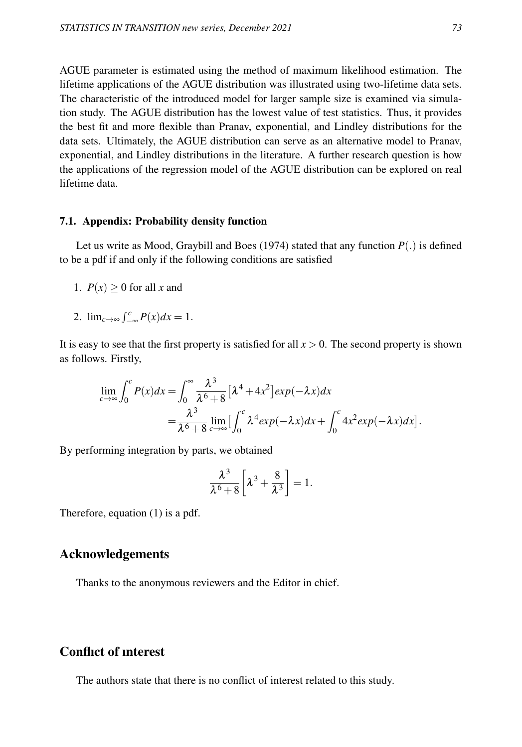AGUE parameter is estimated using the method of maximum likelihood estimation. The lifetime applications of the AGUE distribution was illustrated using two-lifetime data sets. The characteristic of the introduced model for larger sample size is examined via simulation study. The AGUE distribution has the lowest value of test statistics. Thus, it provides the best fit and more flexible than Pranav, exponential, and Lindley distributions for the data sets. Ultimately, the AGUE distribution can serve as an alternative model to Pranav, exponential, and Lindley distributions in the literature. A further research question is how the applications of the regression model of the AGUE distribution can be explored on real lifetime data.

#### 7.1. Appendix: Probability density function

Let us write as Mood, Graybill and Boes (1974) stated that any function  $P(.)$  is defined to be a pdf if and only if the following conditions are satisfied

- 1.  $P(x) \ge 0$  for all *x* and
- 2.  $\lim_{c \to \infty} \int_{-\infty}^{c} P(x) dx = 1.$

It is easy to see that the first property is satisfied for all  $x > 0$ . The second property is shown as follows. Firstly,

$$
\lim_{c \to \infty} \int_0^c P(x) dx = \int_0^{\infty} \frac{\lambda^3}{\lambda^6 + 8} \left[ \lambda^4 + 4x^2 \right] exp(-\lambda x) dx
$$
  
=  $\frac{\lambda^3}{\lambda^6 + 8} \lim_{c \to \infty} \left[ \int_0^c \lambda^4 exp(-\lambda x) dx + \int_0^c 4x^2 exp(-\lambda x) dx \right].$ 

By performing integration by parts, we obtained

$$
\frac{\lambda^3}{\lambda^6 + 8} \left[ \lambda^3 + \frac{8}{\lambda^3} \right] = 1.
$$

Therefore, equation (1) is a pdf.

## Acknowledgements

Thanks to the anonymous reviewers and the Editor in chief.

## Conflıct of ınterest

The authors state that there is no conflict of interest related to this study.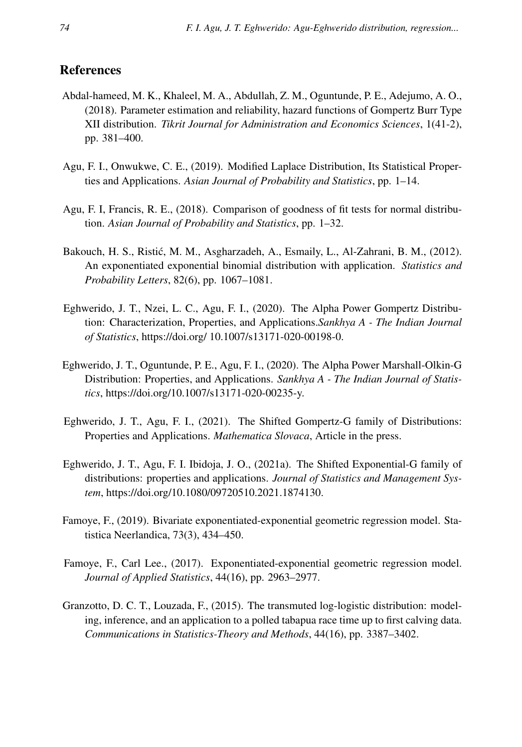## References

- Abdal-hameed, M. K., Khaleel, M. A., Abdullah, Z. M., Oguntunde, P. E., Adejumo, A. O., (2018). Parameter estimation and reliability, hazard functions of Gompertz Burr Type XII distribution. *Tikrit Journal for Administration and Economics Sciences*, 1(41-2), pp. 381–400.
- Agu, F. I., Onwukwe, C. E., (2019). Modified Laplace Distribution, Its Statistical Properties and Applications. *Asian Journal of Probability and Statistics*, pp. 1–14.
- Agu, F. I, Francis, R. E., (2018). Comparison of goodness of fit tests for normal distribution. *Asian Journal of Probability and Statistics*, pp. 1–32.
- Bakouch, H. S., Ristic, M. M., Asgharzadeh, A., Esmaily, L., Al-Zahrani, B. M., (2012). ´ An exponentiated exponential binomial distribution with application. *Statistics and Probability Letters*, 82(6), pp. 1067–1081.
- Eghwerido, J. T., Nzei, L. C., Agu, F. I., (2020). The Alpha Power Gompertz Distribution: Characterization, Properties, and Applications.*Sankhya A - The Indian Journal of Statistics*, https://doi.org/ 10.1007/s13171-020-00198-0.
- Eghwerido, J. T., Oguntunde, P. E., Agu, F. I., (2020). The Alpha Power Marshall-Olkin-G Distribution: Properties, and Applications. *Sankhya A - The Indian Journal of Statistics*, https://doi.org/10.1007/s13171-020-00235-y.
- Eghwerido, J. T., Agu, F. I., (2021). The Shifted Gompertz-G family of Distributions: Properties and Applications. *Mathematica Slovaca*, Article in the press.
- Eghwerido, J. T., Agu, F. I. Ibidoja, J. O., (2021a). The Shifted Exponential-G family of distributions: properties and applications. *Journal of Statistics and Management System*, https://doi.org/10.1080/09720510.2021.1874130.
- Famoye, F., (2019). Bivariate exponentiated-exponential geometric regression model. Statistica Neerlandica, 73(3), 434–450.
- Famoye, F., Carl Lee., (2017). Exponentiated-exponential geometric regression model. *Journal of Applied Statistics*, 44(16), pp. 2963–2977.
- Granzotto, D. C. T., Louzada, F., (2015). The transmuted log-logistic distribution: modeling, inference, and an application to a polled tabapua race time up to first calving data. *Communications in Statistics-Theory and Methods*, 44(16), pp. 3387–3402.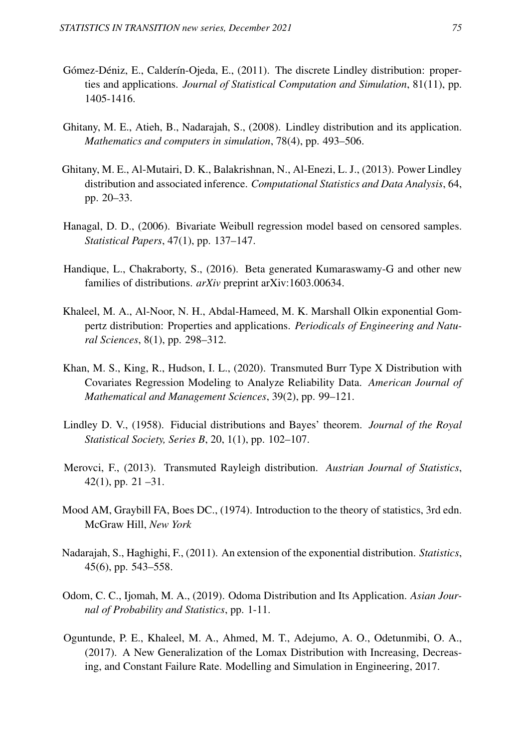- Gómez-Déniz, E., Calderín-Ojeda, E., (2011). The discrete Lindley distribution: properties and applications. *Journal of Statistical Computation and Simulation*, 81(11), pp. 1405-1416.
- Ghitany, M. E., Atieh, B., Nadarajah, S., (2008). Lindley distribution and its application. *Mathematics and computers in simulation*, 78(4), pp. 493–506.
- Ghitany, M. E., Al-Mutairi, D. K., Balakrishnan, N., Al-Enezi, L. J., (2013). Power Lindley distribution and associated inference. *Computational Statistics and Data Analysis*, 64, pp. 20–33.
- Hanagal, D. D., (2006). Bivariate Weibull regression model based on censored samples. *Statistical Papers*, 47(1), pp. 137–147.
- Handique, L., Chakraborty, S., (2016). Beta generated Kumaraswamy-G and other new families of distributions. *arXiv* preprint arXiv:1603.00634.
- Khaleel, M. A., Al-Noor, N. H., Abdal-Hameed, M. K. Marshall Olkin exponential Gompertz distribution: Properties and applications. *Periodicals of Engineering and Natural Sciences*, 8(1), pp. 298–312.
- Khan, M. S., King, R., Hudson, I. L., (2020). Transmuted Burr Type X Distribution with Covariates Regression Modeling to Analyze Reliability Data. *American Journal of Mathematical and Management Sciences*, 39(2), pp. 99–121.
- Lindley D. V., (1958). Fiducial distributions and Bayes' theorem. *Journal of the Royal Statistical Society, Series B*, 20, 1(1), pp. 102–107.
- Merovci, F., (2013). Transmuted Rayleigh distribution. *Austrian Journal of Statistics*,  $42(1)$ , pp.  $21 - 31$ .
- Mood AM, Graybill FA, Boes DC., (1974). Introduction to the theory of statistics, 3rd edn. McGraw Hill, *New York*
- Nadarajah, S., Haghighi, F., (2011). An extension of the exponential distribution. *Statistics*, 45(6), pp. 543–558.
- Odom, C. C., Ijomah, M. A., (2019). Odoma Distribution and Its Application. *Asian Journal of Probability and Statistics*, pp. 1-11.
- Oguntunde, P. E., Khaleel, M. A., Ahmed, M. T., Adejumo, A. O., Odetunmibi, O. A., (2017). A New Generalization of the Lomax Distribution with Increasing, Decreasing, and Constant Failure Rate. Modelling and Simulation in Engineering, 2017.